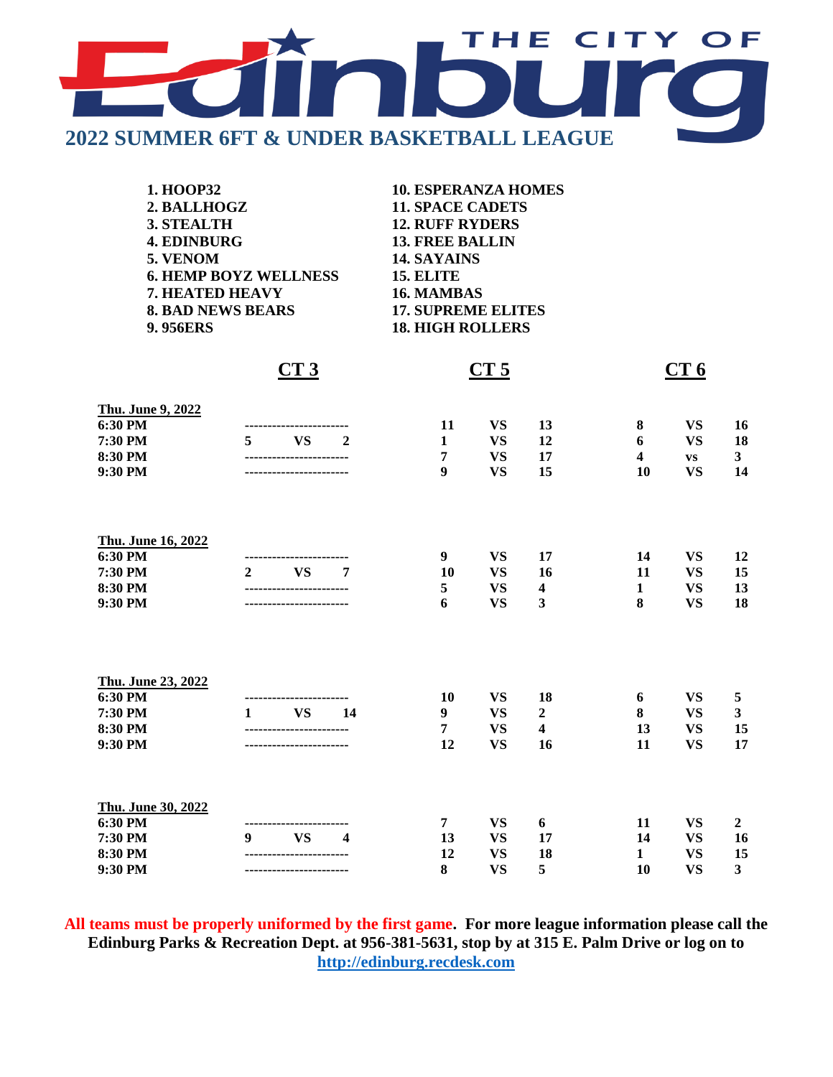

| 1. HOOP32          |                              | <b>10. ESPERANZA HOMES</b> |     |    |                 |           |    |
|--------------------|------------------------------|----------------------------|-----|----|-----------------|-----------|----|
| 2. BALLHOGZ        |                              | <b>11. SPACE CADETS</b>    |     |    |                 |           |    |
| 3. STEALTH         |                              | <b>12. RUFF RYDERS</b>     |     |    |                 |           |    |
| <b>4. EDINBURG</b> |                              | <b>13. FREE BALLIN</b>     |     |    |                 |           |    |
| 5. VENOM           |                              | 14. SAYAINS                |     |    |                 |           |    |
|                    | <b>6. HEMP BOYZ WELLNESS</b> | <b>15. ELITE</b>           |     |    |                 |           |    |
| 7. HEATED HEAVY    |                              | 16. MAMBAS                 |     |    |                 |           |    |
|                    | <b>8. BAD NEWS BEARS</b>     | <b>17. SUPREME ELITES</b>  |     |    |                 |           |    |
| <b>9.956ERS</b>    |                              | <b>18. HIGH ROLLERS</b>    |     |    |                 |           |    |
|                    | CT3                          | CT <sub>5</sub>            |     |    | CT <sub>6</sub> |           |    |
| Thu. June 9, 2022  |                              |                            |     |    |                 |           |    |
| 6:30 PM            |                              | 11                         | VS. | 13 | 8               | VS.       | 16 |
| 7:30 PM            | <b>VS</b><br>5<br>2          | 1                          | VS. | 12 | 6               | VS.       | 18 |
| 8:30 PM            |                              | 7                          | VS. | 17 | 4               | <b>VS</b> | 3  |
| $9:30$ PM          |                              |                            |     |    |                 |           |    |

| Thu. June 16, 2022 |                |                     |        |                        |                              |                  |                        |           |    |
|--------------------|----------------|---------------------|--------|------------------------|------------------------------|------------------|------------------------|-----------|----|
| 6:30 PM            |                | ------------------- |        | 9                      | <b>VS</b>                    | 17               | 14                     | <b>VS</b> | 12 |
| 7:30 PM            | $\overline{2}$ | <b>VS</b>           | 7      | 10                     | <b>VS</b>                    | 16               | 11                     | <b>VS</b> | 15 |
| 8:30 PM<br>9:30 PM |                |                     | 5<br>6 | <b>VS</b><br><b>VS</b> | $\overline{\mathbf{4}}$<br>3 | 1                | <b>VS</b><br><b>VS</b> | 13        |    |
|                    |                |                     |        |                        |                              | 8                |                        | 18        |    |
|                    |                |                     |        |                        |                              |                  |                        |           |    |
| Thu. June 23, 2022 |                |                     |        |                        |                              |                  |                        |           |    |
| 6:30 PM            |                | -----------         |        | 10                     | <b>VS</b>                    | 18               | 6                      | <b>VS</b> | 5  |
| 7:30 PM            | 1              | <b>VS</b>           | 14     | 9                      | <b>VS</b>                    | $\boldsymbol{2}$ | 8                      | <b>VS</b> | 3  |
| 8:30 PM            | -----------    |                     | 7      | <b>VS</b>              | $\overline{\mathbf{4}}$      | 13               | <b>VS</b>              | 15        |    |
| 9:30 PM            |                |                     | 12     | <b>VS</b>              | 16                           | 11               | <b>VS</b>              | 17        |    |
| Thu. June 30, 2022 |                |                     |        |                        |                              |                  |                        |           |    |
| 6:30 PM            |                |                     |        | 7                      | <b>VS</b>                    | 6                | 11                     | <b>VS</b> | 2  |
| 7:30 PM            | 9              | <b>VS</b>           | 4      | 13                     | <b>VS</b>                    | 17               | 14                     | <b>VS</b> | 16 |

**All teams must be properly uniformed by the first game. For more league information please call the Edinburg Parks & Recreation Dept. at 956-381-5631, stop by at 315 E. Palm Drive or log on to [http://edinburg.recdesk.com](http://edinburg.recdesk.com/)**

**8:30 PM ----------------------- 12 VS 18 1 VS 15 9:30 PM ----------------------- 8 VS 5 10 VS 3**